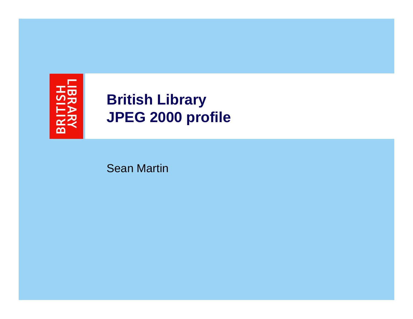

# **British Library JPEG 2000 profile**

Sean Martin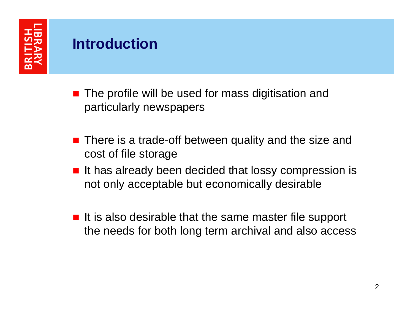# **Introduction**

- **The profile will be used for mass digitisation and** particularly newspapers
- **There is a trade-off between quality and the size and** cost of file storage
- $\blacksquare$  It has already been decided that lossy compression is not only acceptable but economically desirable
- If is also desirable that the same master file support the needs for both long term archival and also access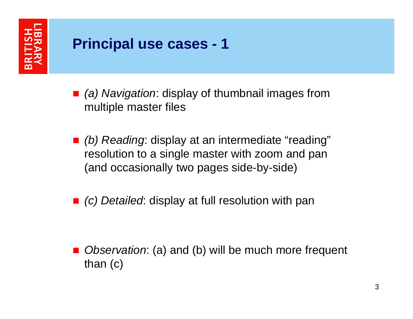

### **Principal use cases - 1**

- *(a) Navigation*: display of thumbnail images from multiple master files
- *(b) Reading*: display at an intermediate "reading" resolution to a single master with zoom and pan (and occasionally two pages side-by-side)
- *(c) Detailed*: display at full resolution with pan

П *Observation*: (a) and (b) will be much more frequent than (c)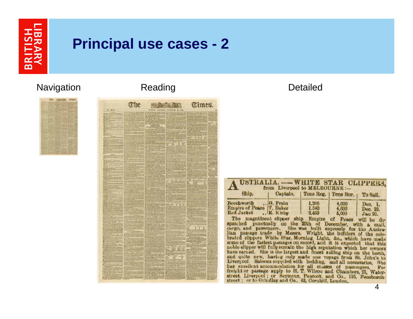

#### **Principal use cases - 2**

#### Navigation Reading Reading Reading Detailed



|                                                | The               |                             |                      | Times.                  |  |
|------------------------------------------------|-------------------|-----------------------------|----------------------|-------------------------|--|
| NY. 22.474.                                    |                   | <b>SATURDAY.</b><br>LONDON. | NOVEMBER 46.<br>1520 |                         |  |
|                                                |                   |                             |                      |                         |  |
| menus<br>SKIII<br><b>Report</b>                |                   |                             | AUROAD<br>冠          | ANNUAL VA BRAN          |  |
| an in antoria<br>La babas hotel                |                   | $-1 - 5 + 8 =$              |                      | ers for<br>联生           |  |
| <b>HARABARA</b>                                |                   |                             |                      |                         |  |
|                                                |                   |                             |                      |                         |  |
|                                                | 13. or wait (100  |                             |                      |                         |  |
|                                                |                   | E                           |                      |                         |  |
|                                                |                   |                             |                      |                         |  |
|                                                |                   | 运动                          |                      |                         |  |
|                                                | Literatu          |                             |                      |                         |  |
|                                                | <b>KCRANT ALT</b> |                             |                      |                         |  |
|                                                |                   |                             |                      | 'nв                     |  |
|                                                |                   |                             |                      |                         |  |
|                                                |                   |                             |                      |                         |  |
| <b>Allegean</b>                                |                   |                             |                      |                         |  |
|                                                |                   | <b>Bar &amp; Williams</b>   |                      |                         |  |
|                                                |                   |                             |                      |                         |  |
|                                                |                   |                             |                      |                         |  |
|                                                |                   | <b>SHEW</b>                 |                      |                         |  |
| 72172                                          |                   | 15.50                       | <b>Alexandre</b>     | $-100$                  |  |
|                                                |                   |                             | <b>PE Actual</b>     |                         |  |
|                                                |                   |                             |                      |                         |  |
|                                                |                   |                             |                      |                         |  |
| <b>ASPARATOUSE</b>                             |                   | 照                           |                      |                         |  |
| <b>Liverato hops</b>                           |                   |                             |                      |                         |  |
| <b>SEARCH THE</b>                              | 5.57              |                             |                      |                         |  |
|                                                |                   |                             |                      |                         |  |
| <b>STORIES A PL Fee</b>                        |                   | 파료                          |                      |                         |  |
|                                                |                   |                             |                      |                         |  |
|                                                |                   |                             |                      |                         |  |
| <b>BUTHER</b>                                  |                   |                             | uring                |                         |  |
| Virus trainers Prints                          |                   |                             |                      |                         |  |
|                                                |                   |                             | <b>ALLE KIT HE</b>   |                         |  |
|                                                |                   |                             |                      |                         |  |
| <b>CARSON</b><br><b>Collage Second</b>         |                   |                             |                      |                         |  |
| and John Allen                                 |                   |                             |                      |                         |  |
|                                                |                   |                             | <b>KV FOREFREID</b>  |                         |  |
| <b>DIAVISE</b>                                 |                   |                             |                      |                         |  |
| <b>All of Convertible</b><br><b>THE RUNNER</b> |                   |                             |                      |                         |  |
|                                                |                   |                             | THOS HAS HIM         |                         |  |
|                                                |                   |                             | 懵                    |                         |  |
|                                                |                   |                             | 面面<br>非理             |                         |  |
|                                                |                   |                             |                      | TILL<br><b>SAR LINE</b> |  |
| 薀                                              |                   |                             |                      |                         |  |
|                                                |                   |                             |                      |                         |  |
|                                                |                   |                             |                      |                         |  |
|                                                |                   |                             |                      |                         |  |
|                                                |                   |                             |                      |                         |  |
|                                                |                   |                             |                      |                         |  |
|                                                |                   |                             |                      |                         |  |
| D                                              |                   |                             |                      |                         |  |
|                                                |                   |                             |                      |                         |  |
|                                                |                   |                             |                      |                         |  |
|                                                |                   |                             |                      |                         |  |
| <b>Real Property</b>                           | HUILTA &          |                             |                      |                         |  |
| 湖洪                                             |                   | 乳器                          |                      |                         |  |
|                                                |                   |                             |                      |                         |  |
|                                                |                   |                             |                      |                         |  |
| łШ                                             |                   |                             |                      |                         |  |
|                                                |                   |                             |                      |                         |  |
|                                                |                   |                             |                      |                         |  |
| üЯ                                             |                   |                             |                      |                         |  |
|                                                |                   | templatt, he                |                      |                         |  |
|                                                |                   |                             |                      |                         |  |
|                                                |                   |                             |                      |                         |  |
|                                                |                   |                             |                      |                         |  |
|                                                |                   |                             |                      |                         |  |
|                                                |                   |                             |                      |                         |  |
|                                                |                   |                             |                      |                         |  |
|                                                |                   |                             |                      |                         |  |
|                                                |                   |                             |                      |                         |  |
|                                                |                   |                             |                      |                         |  |
|                                                |                   |                             |                      |                         |  |
|                                                |                   |                             |                      |                         |  |
|                                                |                   |                             |                      |                         |  |

| USTRALIA. -- WHITE STAR CLIPPERS.<br>from Liverpool to MELBOURNE:-                            |                                      |                                                                 |                         |                                       |
|-----------------------------------------------------------------------------------------------|--------------------------------------|-----------------------------------------------------------------|-------------------------|---------------------------------------|
| Ship.                                                                                         | Captain.                             |                                                                 | Tons Reg.   Tons Bur.   | To Sail.                              |
| Beechworth  G. Frain<br>Empire of Peace T. Baker<br>Red Jacket<br>$m_{\rm L}$ $\sim$ $10 - 1$ | R. Kirby<br>$\mathbf{L}$ . The state | 1,266<br>1.540<br>2,460<br><b>THE REAL PROPERTY AND INCOME.</b> | 4,000<br>4,600<br>5,000 | Dec. 1.<br>Dec. 20.<br><b>Jan 20.</b> |

The magnificent clipper ship Empire of Peace will be despatched punctually on the 20th of December, with a mail, cargo, and passenger. She was built expressly for the Austra-<br>lian passage trade by Messrs. Wright, the builders of the celebrated clippers White Star, Morning Light, &c., which have made some of the fastest passages on record, and it is expected that this noble clipper will fully sustain the high reputation which her owners have earned. She is the largest and finest sailing ship on the berth, and quite new, having only made one voyage from St. John's to Liverpool. Saloons supplied with bedding, and all necessaries. She has excellent accommodation for all classes of passengers. For freight or passage apply to H. T. Wilson and Chambers, 21, Waterstreet, Liverpool; or Seymour, Peacock, and Co., 116, Fenchurchstreet : or to Grindlay and Co., 63, Cornhill, London.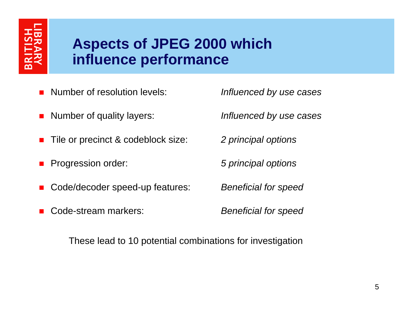## **Aspects of JPEG 2000 which influence performance**

- П Number of resolution levels:
- П Number of quality layers:
- П Tile or precinct & codeblock size:
- П Progression order:
- П Code/decoder speed-up features:
- П Code-stream markers:

*Influenced by use cases*

*Influenced by use cases*

*2 principal options*

*5 principal options*

*Beneficial for speed*

*Beneficial for speed*

These lead to 10 potential combinations for investigation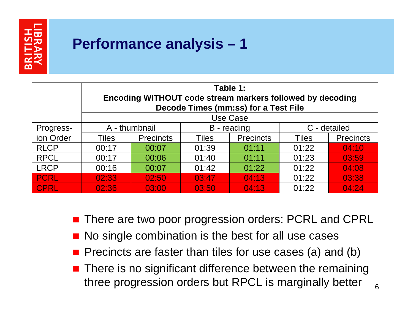

# **Performance analysis – 1**

|             | Table 1:<br>Encoding WITHOUT code stream markers followed by decoding<br><b>Decode Times (mm:ss) for a Test File</b> |                  |              |                  |              |                  |
|-------------|----------------------------------------------------------------------------------------------------------------------|------------------|--------------|------------------|--------------|------------------|
|             |                                                                                                                      |                  |              |                  |              |                  |
|             | Use Case                                                                                                             |                  |              |                  |              |                  |
| Progress-   | A - thumbnail                                                                                                        |                  | B - reading  |                  | C - detailed |                  |
| ion Order   | Tiles                                                                                                                | <b>Precincts</b> | <b>Tiles</b> | <b>Precincts</b> | <b>Tiles</b> | <b>Precincts</b> |
| <b>RLCP</b> | 00:17                                                                                                                | 00:07            | 01:39        | 01:11            | 01:22        | 04:10            |
| <b>RPCL</b> | 00:17                                                                                                                | 00:06            | 01:40        | 01:11            | 01:23        | 03:59            |
| <b>LRCP</b> | 00:16                                                                                                                | 00:07            | 01:42        | 01:22            | 01:22        | 04:08            |
| <b>PCRL</b> | 02:33                                                                                                                | 02:50            | 03:47        | 04:13            | 01:22        | 03:38            |
| <b>CPRL</b> | 02:36                                                                                                                | 03:00            | 03:50        | 04:13            | 01:22        | 04:24            |

- $\blacksquare$ There are two poor progression orders: PCRL and CPRL
- No single combination is the best for all use cases
- **Pecalle** Precincts are faster than tiles for use cases (a) and (b)
- **There is no significant difference between the remaining** three progression orders but RPCL is marginally better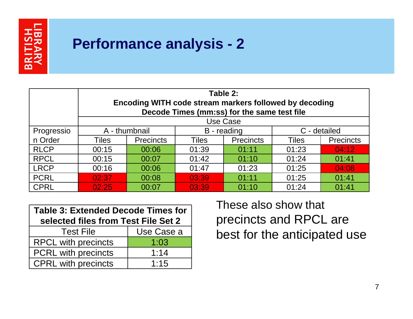

## **Performance analysis - 2**

|             | Table 2:<br>Encoding WITH code stream markers followed by decoding |                  |              |                  |              |                  |
|-------------|--------------------------------------------------------------------|------------------|--------------|------------------|--------------|------------------|
|             | Decode Times (mm:ss) for the same test file                        |                  |              |                  |              |                  |
|             | Use Case                                                           |                  |              |                  |              |                  |
| Progressio  | A - thumbnail                                                      |                  | B - reading  |                  | C - detailed |                  |
| n Order     | Tiles                                                              | <b>Precincts</b> | <b>Tiles</b> | <b>Precincts</b> | <b>Tiles</b> | <b>Precincts</b> |
| <b>RLCP</b> | 00:15                                                              | 00:06            | 01:39        | 01:11            | 01:23        | 04:12            |
| <b>RPCL</b> | 00:15                                                              | 00:07            | 01:42        | 01:10            | 01:24        | 01:41            |
| <b>LRCP</b> | 00:16                                                              | 00:06            | 01:47        | 01:23            | 01:25        | 04:08            |
| <b>PCRL</b> | 02:37                                                              | 00:08            | 03:39        | 01:11            | 01:25        | 01:41            |
| <b>CPRL</b> | 02:25                                                              | 00:07            | 03:39        | 01:10            | 01:24        | 01:41            |

| <b>Table 3: Extended Decode Times for</b> |            |  |  |  |
|-------------------------------------------|------------|--|--|--|
| selected files from Test File Set 2       |            |  |  |  |
| <b>Test File</b>                          | Use Case a |  |  |  |
| <b>RPCL with precincts</b>                | 1:03       |  |  |  |
| <b>PCRL</b> with precincts                | 1:14       |  |  |  |
| <b>CPRL with precincts</b>                | 1:15       |  |  |  |

These also show that precincts and RPCL are best for the anticipated use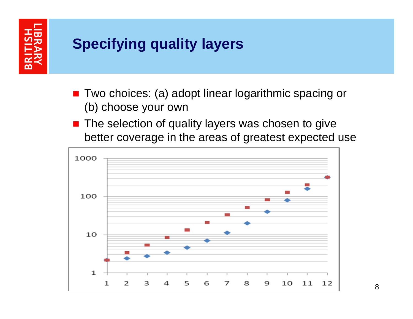# **Specifying quality layers**

- Two choices: (a) adopt linear logarithmic spacing or (b) choose your own
- **The selection of quality layers was chosen to give** better coverage in the areas of greatest expected use

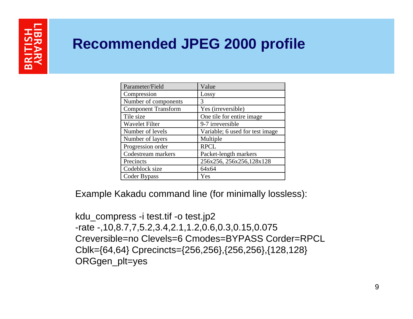# **Recommended JPEG 2000 profile**

| Parameter/Field            | Value                           |  |  |
|----------------------------|---------------------------------|--|--|
| Compression                | Lossy                           |  |  |
| Number of components       | 3                               |  |  |
| <b>Component Transform</b> | Yes (irreversible)              |  |  |
| Tile size                  | One tile for entire image       |  |  |
| <b>Wavelet Filter</b>      | 9-7 irreversible                |  |  |
| Number of levels           | Variable; 6 used for test image |  |  |
| Number of layers           | Multiple                        |  |  |
| Progression order          | <b>RPCL</b>                     |  |  |
| Codestream markers         | Packet-length markers           |  |  |
| Precincts                  | 256x256, 256x256, 128x128       |  |  |
| Codeblock size             | 64x64                           |  |  |
| Coder Bypass               | Yes                             |  |  |

Example Kakadu command line (for minimally lossless):

kdu\_compress -i test.tif -o test.jp2 -rate -,10,8.7,7,5.2,3.4,2.1,1.2,0.6,0.3,0.15,0.075 Creversible=no Clevels=6 Cmodes=BYPASS Corder=RPCL Cblk={64,64} Cprecincts={256,256},{256,256},{128,128} ORGgen\_plt=yes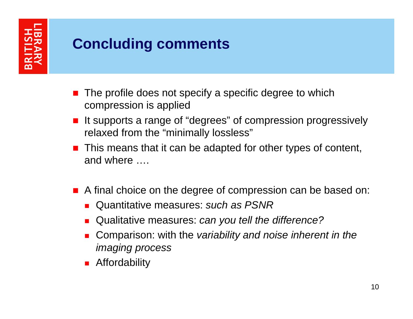# **Concluding comments**

- × The profile does not specify a specific degree to which compression is applied
- It supports a range of "degrees" of compression progressively relaxed from the "minimally lossless"
- **This means that it can be adapted for other types of content,** and where ….
- **A** final choice on the degree of compression can be based on:
	- Quantitative measures: *such as PSNR*
	- × Qualitative measures: *can you tell the difference?*
	- × Comparison: with the *variability and noise inherent in the imaging process*
	- **Affordability**